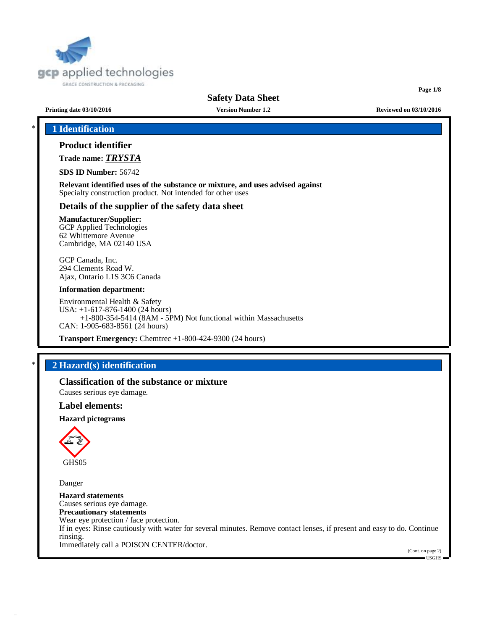

# **Safety Data Sheet**

**Page 1/8**

**Printing date 03/10/2016 Version Number 1.2 Reviewed on 03/10/2016**

# \* **1 Identification**

## **Product identifier**

**Trade name:** *TRYSTA*

**SDS ID Number:** 56742

**Relevant identified uses of the substance or mixture, and uses advised against** Specialty construction product. Not intended for other uses

## **Details of the supplier of the safety data sheet**

## **Manufacturer/Supplier:**

GCP Applied Technologies 62 Whittemore Avenue Cambridge, MA 02140 USA

GCP Canada, Inc. 294 Clements Road W. Ajax, Ontario L1S 3C6 Canada

#### **Information department:**

Environmental Health & Safety USA: +1-617-876-1400 (24 hours) +1-800-354-5414 (8AM - 5PM) Not functional within Massachusetts CAN: 1-905-683-8561 (24 hours)

**Transport Emergency:** Chemtrec +1-800-424-9300 (24 hours)

# \* **2 Hazard(s) identification**

**Classification of the substance or mixture** Causes serious eye damage.

### **Label elements:**

**Hazard pictograms**



Danger

**Hazard statements** Causes serious eye damage. **Precautionary statements** Wear eye protection / face protection. If in eyes: Rinse cautiously with water for several minutes. Remove contact lenses, if present and easy to do. Continue rinsing. Immediately call a POISON CENTER/doctor.

(Cont. on page 2)  $-IISGHS$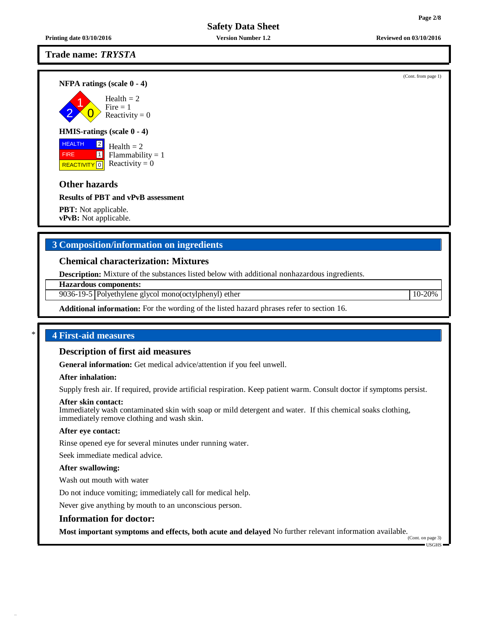## **Trade name:** *TRYSTA*

**NFPA ratings (scale 0 - 4)**

2 1  $\overline{0}$ Health  $= 2$  $Fire = 1$ Reactivity  $= 0$ 

## **HMIS-ratings (scale 0 - 4)**

**HEALTH**  FIRE REACTIVITY  $\boxed{0}$  Reactivity = 0 2 1 Health  $= 2$  $Flammability = 1$ 

# **Other hazards**

**Results of PBT and vPvB assessment**

**PBT:** Not applicable. **vPvB:** Not applicable.

# **3 Composition/information on ingredients**

## **Chemical characterization: Mixtures**

**Description:** Mixture of the substances listed below with additional nonhazardous ingredients.

**Hazardous components:**

9036-19-5 Polyethylene glycol mono(octylphenyl) ether 10-20%

**Additional information:** For the wording of the listed hazard phrases refer to section 16.

## \* **4 First-aid measures**

## **Description of first aid measures**

**General information:** Get medical advice/attention if you feel unwell.

### **After inhalation:**

Supply fresh air. If required, provide artificial respiration. Keep patient warm. Consult doctor if symptoms persist.

### **After skin contact:**

Immediately wash contaminated skin with soap or mild detergent and water. If this chemical soaks clothing, immediately remove clothing and wash skin.

### **After eye contact:**

Rinse opened eye for several minutes under running water.

Seek immediate medical advice.

### **After swallowing:**

Wash out mouth with water

Do not induce vomiting; immediately call for medical help.

Never give anything by mouth to an unconscious person.

### **Information for doctor:**

**Most important symptoms and effects, both acute and delayed** No further relevant information available.

(Cont. on page 3) USGHS

**Printing date 03/10/2016 Version Number 1.2 Reviewed on 03/10/2016**

(Cont. from page 1)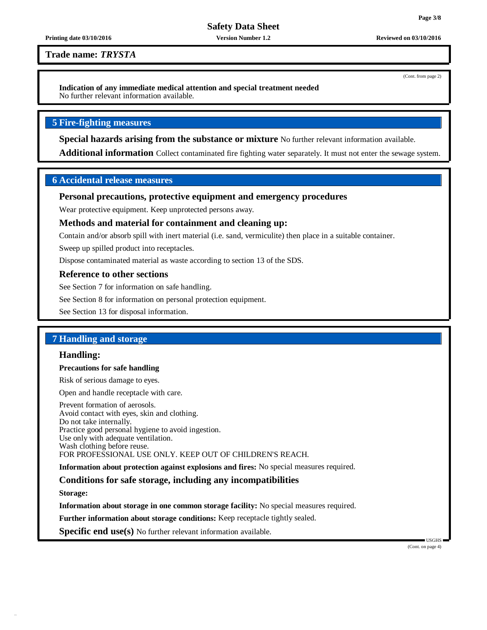(Cont. from page 2)

**Safety Data Sheet**

#### **Printing date 03/10/2016 Version Number 1.2 Reviewed on 03/10/2016**

**Trade name:** *TRYSTA*

**Indication of any immediate medical attention and special treatment needed** No further relevant information available.

## **5 Fire-fighting measures**

**Special hazards arising from the substance or mixture** No further relevant information available.

**Additional information** Collect contaminated fire fighting water separately. It must not enter the sewage system.

## **6 Accidental release measures**

## **Personal precautions, protective equipment and emergency procedures**

Wear protective equipment. Keep unprotected persons away.

## **Methods and material for containment and cleaning up:**

Contain and/or absorb spill with inert material (i.e. sand, vermiculite) then place in a suitable container.

Sweep up spilled product into receptacles.

Dispose contaminated material as waste according to section 13 of the SDS.

### **Reference to other sections**

See Section 7 for information on safe handling.

See Section 8 for information on personal protection equipment.

See Section 13 for disposal information.

## **7 Handling and storage**

## **Handling:**

## **Precautions for safe handling**

Risk of serious damage to eyes.

Open and handle receptacle with care.

Prevent formation of aerosols. Avoid contact with eyes, skin and clothing. Do not take internally. Practice good personal hygiene to avoid ingestion. Use only with adequate ventilation. Wash clothing before reuse. FOR PROFESSIONAL USE ONLY. KEEP OUT OF CHILDREN'S REACH.

**Information about protection against explosions and fires:** No special measures required.

## **Conditions for safe storage, including any incompatibilities**

**Storage:**

**Information about storage in one common storage facility:** No special measures required.

**Further information about storage conditions:** Keep receptacle tightly sealed.

**Specific end use(s)** No further relevant information available.

(Cont. on page 4)

USGHS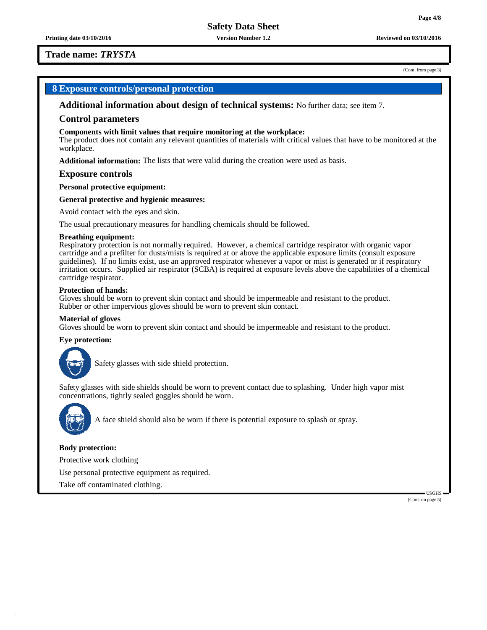**Printing date 03/10/2016 Version Number 1.2 Reviewed on 03/10/2016**

## **Trade name:** *TRYSTA*

#### (Cont. from page 3)

## **8 Exposure controls/personal protection**

**Additional information about design of technical systems:** No further data; see item 7.

#### **Control parameters**

#### **Components with limit values that require monitoring at the workplace:**

The product does not contain any relevant quantities of materials with critical values that have to be monitored at the workplace.

**Additional information:** The lists that were valid during the creation were used as basis.

#### **Exposure controls**

**Personal protective equipment:**

#### **General protective and hygienic measures:**

Avoid contact with the eyes and skin.

The usual precautionary measures for handling chemicals should be followed.

#### **Breathing equipment:**

Respiratory protection is not normally required. However, a chemical cartridge respirator with organic vapor cartridge and a prefilter for dusts/mists is required at or above the applicable exposure limits (consult exposure guidelines). If no limits exist, use an approved respirator whenever a vapor or mist is generated or if respiratory irritation occurs. Supplied air respirator (SCBA) is required at exposure levels above the capabilities of a chemical cartridge respirator.

#### **Protection of hands:**

Gloves should be worn to prevent skin contact and should be impermeable and resistant to the product. Rubber or other impervious gloves should be worn to prevent skin contact.

#### **Material of gloves**

Gloves should be worn to prevent skin contact and should be impermeable and resistant to the product.

### **Eye protection:**



Safety glasses with side shield protection.

Safety glasses with side shields should be worn to prevent contact due to splashing. Under high vapor mist concentrations, tightly sealed goggles should be worn.



A face shield should also be worn if there is potential exposure to splash or spray.

#### **Body protection:**

Protective work clothing

Use personal protective equipment as required.

Take off contaminated clothing.

(Cont. on page 5)

USGHS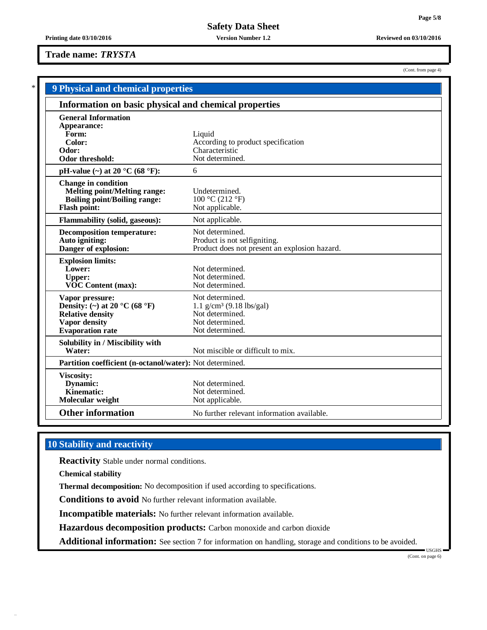(Cont. from page 4)

## **Trade name:** *TRYSTA*

|                                                                                                                                             | <b>9 Physical and chemical properties</b>                                                                          |  |  |  |  |  |
|---------------------------------------------------------------------------------------------------------------------------------------------|--------------------------------------------------------------------------------------------------------------------|--|--|--|--|--|
| Information on basic physical and chemical properties                                                                                       |                                                                                                                    |  |  |  |  |  |
| <b>General Information</b><br>Appearance:<br>Form:<br>Color:<br>Odor:<br>Odor threshold:                                                    | Liquid<br>According to product specification<br>Characteristic<br>Not determined.                                  |  |  |  |  |  |
| pH-value $(\sim)$ at 20 °C (68 °F):                                                                                                         | 6                                                                                                                  |  |  |  |  |  |
| <b>Change in condition</b><br><b>Melting point/Melting range:</b><br><b>Boiling point/Boiling range:</b><br><b>Flash point:</b>             | Undetermined.<br>100 °C (212 °F)<br>Not applicable.                                                                |  |  |  |  |  |
| <b>Flammability (solid, gaseous):</b>                                                                                                       | Not applicable.                                                                                                    |  |  |  |  |  |
| <b>Decomposition temperature:</b><br>Auto igniting:<br>Danger of explosion:                                                                 | Not determined.<br>Product is not selfigniting.<br>Product does not present an explosion hazard.                   |  |  |  |  |  |
| <b>Explosion limits:</b><br>Lower:<br><b>Upper:</b><br><b>VOC Content (max):</b>                                                            | Not determined.<br>Not determined.<br>Not determined.                                                              |  |  |  |  |  |
| Vapor pressure:<br>Density: (~) at 20 $^{\circ}$ C (68 $^{\circ}$ F)<br><b>Relative density</b><br>Vapor density<br><b>Evaporation</b> rate | Not determined.<br>$1.1$ g/cm <sup>3</sup> (9.18 lbs/gal)<br>Not determined.<br>Not determined.<br>Not determined. |  |  |  |  |  |
| Solubility in / Miscibility with<br>Water:                                                                                                  | Not miscible or difficult to mix.                                                                                  |  |  |  |  |  |
|                                                                                                                                             | Partition coefficient (n-octanol/water): Not determined.                                                           |  |  |  |  |  |
| <b>Viscosity:</b><br>Dynamic:<br>Kinematic:<br>Molecular weight                                                                             | Not determined.<br>Not determined.<br>Not applicable.                                                              |  |  |  |  |  |
| <b>Other information</b>                                                                                                                    | No further relevant information available.                                                                         |  |  |  |  |  |

# **10 Stability and reactivity**

**Reactivity** Stable under normal conditions.

**Chemical stability**

**Thermal decomposition:** No decomposition if used according to specifications.

**Conditions to avoid** No further relevant information available.

**Incompatible materials:** No further relevant information available.

**Hazardous decomposition products:** Carbon monoxide and carbon dioxide

**Additional information:** See section 7 for information on handling, storage and conditions to be avoided.

USGHS (Cont. on page 6)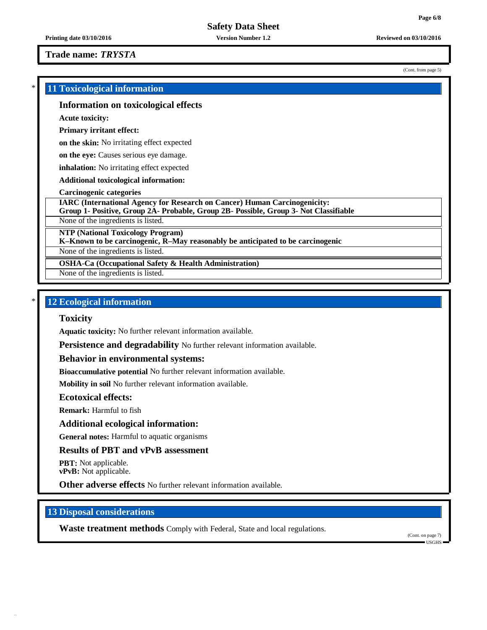**Trade name:** *TRYSTA*

(Cont. from page 5)

| <b>11 Toxicological information</b>                                                                                                                                      |  |  |
|--------------------------------------------------------------------------------------------------------------------------------------------------------------------------|--|--|
| Information on toxicological effects                                                                                                                                     |  |  |
| <b>Acute toxicity:</b>                                                                                                                                                   |  |  |
| <b>Primary irritant effect:</b>                                                                                                                                          |  |  |
| on the skin: No irritating effect expected                                                                                                                               |  |  |
| on the eye: Causes serious eye damage.                                                                                                                                   |  |  |
| <b>inhalation:</b> No irritating effect expected                                                                                                                         |  |  |
| Additional toxicological information:                                                                                                                                    |  |  |
| <b>Carcinogenic categories</b>                                                                                                                                           |  |  |
| <b>IARC (International Agency for Research on Cancer) Human Carcinogenicity:</b><br>Group 1- Positive, Group 2A- Probable, Group 2B- Possible, Group 3- Not Classifiable |  |  |
| None of the ingredients is listed.                                                                                                                                       |  |  |
| <b>NTP (National Toxicology Program)</b><br>K-Known to be carcinogenic, R-May reasonably be anticipated to be carcinogenic                                               |  |  |
| None of the ingredients is listed.                                                                                                                                       |  |  |
| <b>OSHA-Ca (Occupational Safety &amp; Health Administration)</b>                                                                                                         |  |  |
| None of the ingredients is listed.                                                                                                                                       |  |  |

# \* **12 Ecological information**

## **Toxicity**

**Aquatic toxicity:** No further relevant information available.

**Persistence and degradability** No further relevant information available.

**Behavior in environmental systems:**

**Bioaccumulative potential** No further relevant information available.

**Mobility in soil** No further relevant information available.

## **Ecotoxical effects:**

**Remark:** Harmful to fish

## **Additional ecological information:**

**General notes:** Harmful to aquatic organisms

## **Results of PBT and vPvB assessment**

**PBT:** Not applicable. **vPvB:** Not applicable.

**Other adverse effects** No further relevant information available.

# **13 Disposal considerations**

**Waste treatment methods** Comply with Federal, State and local regulations.

(Cont. on page 7) USGHS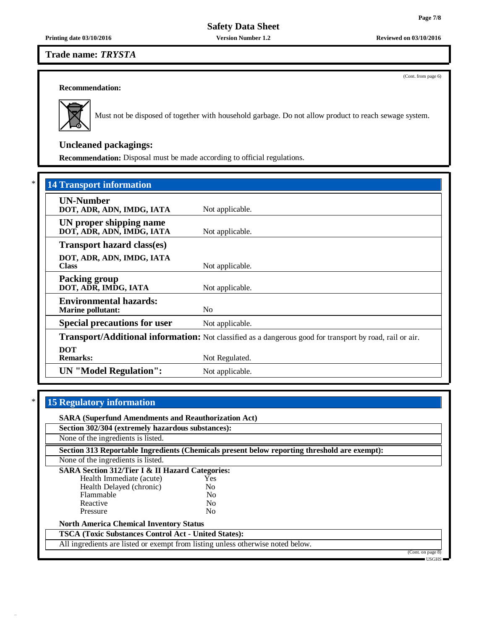**Safety Data Sheet**

## **Trade name:** *TRYSTA*

**Recommendation:**



Must not be disposed of together with household garbage. Do not allow product to reach sewage system.

# **Uncleaned packagings:**

**Recommendation:** Disposal must be made according to official regulations.

| <b>14 Transport information</b>                           |                                                                                                          |  |  |
|-----------------------------------------------------------|----------------------------------------------------------------------------------------------------------|--|--|
| <b>UN-Number</b><br>DOT, ADR, ADN, IMDG, IATA             | Not applicable.                                                                                          |  |  |
| UN proper shipping name<br>DOT, ADR, ADN, IMDG, IATA      | Not applicable.                                                                                          |  |  |
| <b>Transport hazard class(es)</b>                         |                                                                                                          |  |  |
| DOT, ADR, ADN, IMDG, IATA<br><b>Class</b>                 | Not applicable.                                                                                          |  |  |
| <b>Packing group</b><br>DOT, ADR, IMDG, IATA              | Not applicable.                                                                                          |  |  |
| <b>Environmental hazards:</b><br><b>Marine pollutant:</b> | N <sub>0</sub>                                                                                           |  |  |
| <b>Special precautions for user</b><br>Not applicable.    |                                                                                                          |  |  |
|                                                           | Transport/Additional information: Not classified as a dangerous good for transport by road, rail or air. |  |  |
| <b>DOT</b><br><b>Remarks:</b>                             | Not Regulated.                                                                                           |  |  |
| <b>UN</b> "Model Regulation":                             | Not applicable.                                                                                          |  |  |

# \* **15 Regulatory information**

| <b>SARA (Superfund Amendments and Reauthorization Act)</b>                                   |                |  |                   |  |  |  |
|----------------------------------------------------------------------------------------------|----------------|--|-------------------|--|--|--|
| Section 302/304 (extremely hazardous substances):                                            |                |  |                   |  |  |  |
| None of the ingredients is listed.                                                           |                |  |                   |  |  |  |
| Section 313 Reportable Ingredients (Chemicals present below reporting threshold are exempt): |                |  |                   |  |  |  |
| None of the ingredients is listed.                                                           |                |  |                   |  |  |  |
| <b>SARA Section 312/Tier I &amp; II Hazard Categories:</b>                                   |                |  |                   |  |  |  |
| Health Immediate (acute)                                                                     | <b>Yes</b>     |  |                   |  |  |  |
| Health Delayed (chronic)                                                                     | N <sub>0</sub> |  |                   |  |  |  |
| Flammable                                                                                    | N <sub>0</sub> |  |                   |  |  |  |
| Reactive                                                                                     | N <sub>0</sub> |  |                   |  |  |  |
| Pressure                                                                                     | No.            |  |                   |  |  |  |
| <b>North America Chemical Inventory Status</b>                                               |                |  |                   |  |  |  |
| <b>TSCA</b> (Toxic Substances Control Act - United States):                                  |                |  |                   |  |  |  |
| All ingredients are listed or exempt from listing unless otherwise noted below.              |                |  |                   |  |  |  |
|                                                                                              |                |  | (Cont. on page 8) |  |  |  |
|                                                                                              |                |  | $-$ USGHS $-$     |  |  |  |

(Cont. from page 6)